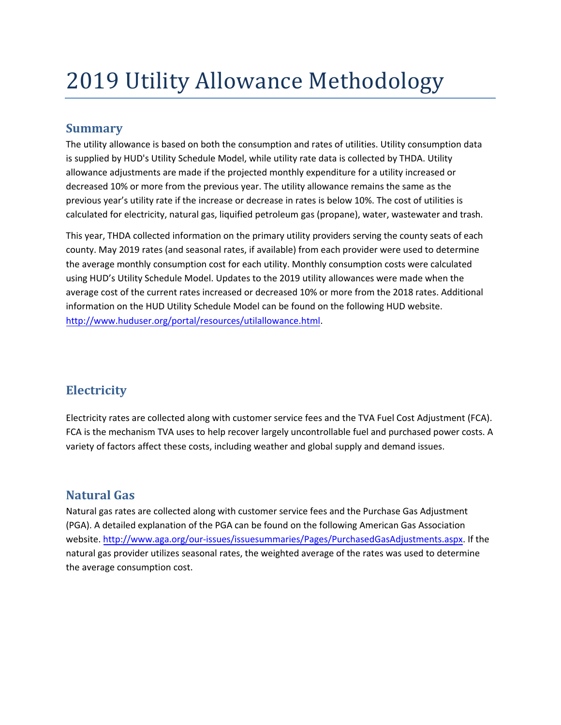# 2019 Utility Allowance Methodology

## **Summary**

The utility allowance is based on both the consumption and rates of utilities. Utility consumption data is supplied by HUD's Utility Schedule Model, while utility rate data is collected by THDA. Utility allowance adjustments are made if the projected monthly expenditure for a utility increased or decreased 10% or more from the previous year. The utility allowance remains the same as the previous year's utility rate if the increase or decrease in rates is below 10%. The cost of utilities is calculated for electricity, natural gas, liquified petroleum gas (propane), water, wastewater and trash.

This year, THDA collected information on the primary utility providers serving the county seats of each county. May 2019 rates (and seasonal rates, if available) from each provider were used to determine the average monthly consumption cost for each utility. Monthly consumption costs were calculated using HUD's Utility Schedule Model. Updates to the 2019 utility allowances were made when the average cost of the current rates increased or decreased 10% or more from the 2018 rates. Additional information on the HUD Utility Schedule Model can be found on the following HUD website. [http://www.huduser.org/portal/resources/utilallowance.html.](http://www.huduser.org/portal/resources/utilallowance.html)

# **Electricity**

Electricity rates are collected along with customer service fees and the TVA Fuel Cost Adjustment (FCA). FCA is the mechanism TVA uses to help recover largely uncontrollable fuel and purchased power costs. A variety of factors affect thes[e costs, including weather and global supply and](http://energy.gov/energysaver/articles/electric-resistance-heating) demand issues.

## **Natural Gas**

Natural gas rates are collected along with customer service fees and the Purchase Gas Adjustment (PGA). A detailed explanation of the PGA can be found on the following American Gas Association website. http://www.aga.org/our-issues/issuesummaries/Pages/PurchasedGasAdjustments.aspx. If the natural [gas provider utilizes seasonal rates,](http://www.aga.org/our-issues/issuesummaries/Pages/PurchasedGasAdjustments.aspx) the weighted average of the rates was used to determine the average consumption cost.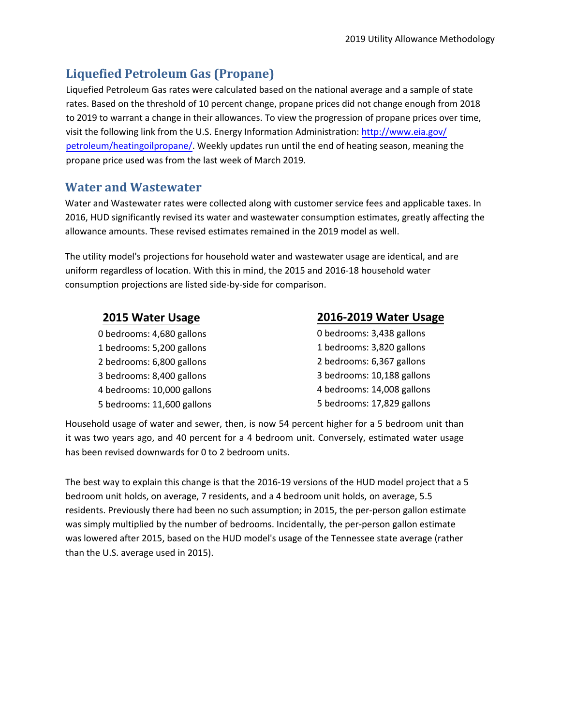## **Liquefied Petroleum Gas (Propane)**

Liquefied Petroleum Gas rates were calculated based on the national average and a sample of state rates. Based on the threshold of 10 percent change, propane prices did not change enough from 2018 to 2019 to warrant a change in their allowances. To view the progression of propane prices over time, visit the following link from the U.S. Energy Information Administration: http://www.eia.gov/ petroleum/heatingoilpropane/. Weekly updates run until the end of heating season, meaning the propane price used was from th[e last week of March](http://www.eia.gov/petroleum/heatingoilpropane/) 2019.

#### **Water and Wastewater**

Water and Wastewater rates were collected along with customer service fees and applicable taxes. In 2016, HUD significantly revised its water and wastewater consumption estimates, greatly affecting the allowance amounts. These revised estimates remained in the 2019 model as well.

The utility model's projections for household water and wastewater usage are identical, and are uniform regardless of location. With this in mind, the 2015 and 2016-18 household water consumption projections are listed side-by-side for comparison.

#### **2015 Water Usage**

0 bedrooms: 4,680 gallons 1 bedrooms: 5,200 gallons 2 bedrooms: 6,800 gallons 3 bedrooms: 8,400 gallons 4 bedrooms: 10,000 gallons 5 bedrooms: 11,600 gallons

#### **2016-2019 Water Usage**

0 bedrooms: 3,438 gallons 1 bedrooms: 3,820 gallons 2 bedrooms: 6,367 gallons 3 bedrooms: 10,188 gallons 4 bedrooms: 14,008 gallons 5 bedrooms: 17,829 gallons

Household usage of water and sewer, then, is now 54 percent higher for a 5 bedroom unit than it was two years ago, and 40 percent for a 4 bedroom unit. Conversely, estimated water usage has been revised downwards for 0 to 2 bedroom units.

The best way to explain this change is that the 2016-19 versions of the HUD model project that a 5 bedroom unit holds, on average, 7 residents, and a 4 bedroom unit holds, on average, 5.5 residents. Previously there had been no such assumption; in 2015, the per-person gallon estimate was simply multiplied by the number of bedrooms. Incidentally, the per-person gallon estimate was lowered after 2015, based on the HUD model's usage of the Tennessee state average (rather than the U.S. average used in 2015).